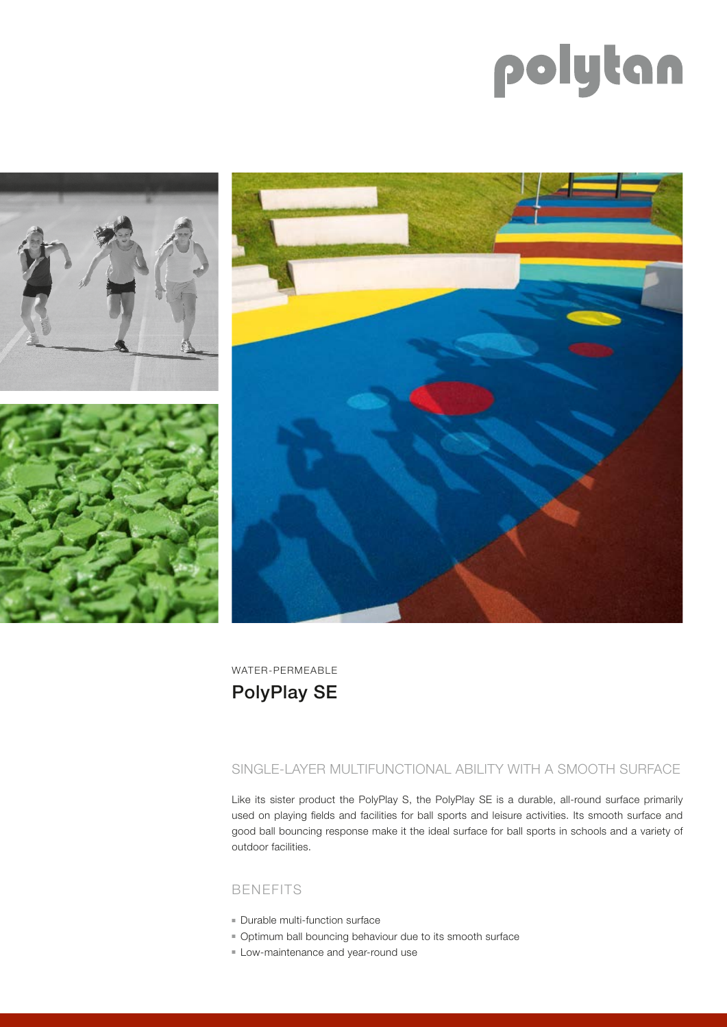# polytan



WATER-PERMEABLE PolyPlay SE

## SINGLE-LAYER MULTIFUNCTIONAL ABILITY WITH A SMOOTH SURFACE

Like its sister product the PolyPlay S, the PolyPlay SE is a durable, all-round surface primarily used on playing fields and facilities for ball sports and leisure activities. Its smooth surface and good ball bouncing response make it the ideal surface for ball sports in schools and a variety of outdoor facilities.

## BENEFITS

- **Durable multi-function surface**
- <sup>n</sup> Optimum ball bouncing behaviour due to its smooth surface
- **Example 1** Low-maintenance and year-round use